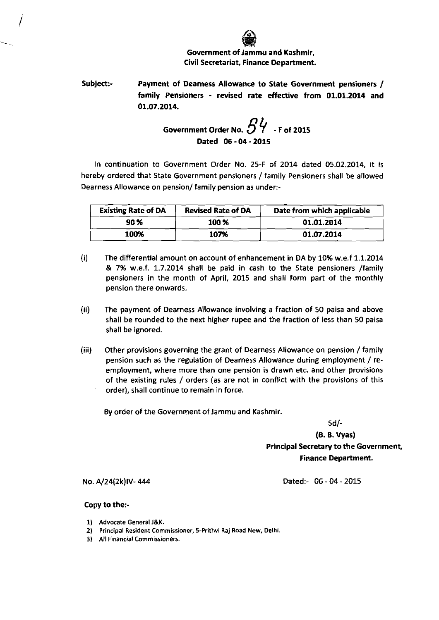

Subject:- Payment of Dearness Allowance to State Government pensioners / family Pensioners - revised rate effective from **01.01.2014** and **01.07.2014.** 

Government Order No. 
$$
\frac{1}{2}
$$
 \n $\frac{1}{2}$  - F of 2015 \nDated 06 - 04 - 2015

In continuation to Government Order No. 25-F of 2014 dated 05.02.2014, it is hereby ordered that State Government pensioners /family Pensioners shall be allowed Dearness Allowance on pension/ family pension as under:-

| <b>Existing Rate of DA</b> | <b>Revised Rate of DA</b> | Date from which applicable |
|----------------------------|---------------------------|----------------------------|
| 90 %                       | 100 %                     | 01.01.2014                 |
| 100%                       | 107%                      | 01.07.2014                 |

- (i) The differential amount on account of enhancement in DA by 10% w.e.f 1.1.2014 & 7% w.e.f. 1.7.2014 shall be paid in cash to the State pensioners /family pensioners in the month of April, 2015 and shall form part of the monthly pension there onwards.
- (ii) The payment of Dearness Allowance involving a fraction of 50 paisa and above shall be rounded to the next higher rupee and the fraction of less than 50 paisa shall be ignored.
- (iii) Other provisions governing the grant of Dearness Allowance on pension /family pension such as the regulation of Dearness Allowance during employment / reemployment, where more than one pension is drawn etc. and other provisions of the existing rules / orders (as are not in conflict with the provisions of this order), shall continue to remain in force.

By order of the Government of Jammu and Kashmir.

Sd/-

**(0.6.** Vyas) Principal Secretary to the Government, Finance Department.

Dated:- 06 - 04 - 2015

No. A/24(2k)IV-444

## Copy to the:-

- 1) Advocate General **J&K.**
- 2) Principal Resident Commissioner, 5-Prithvi Raj Road New, Delhi.
- 3) All Financial Commissioners.